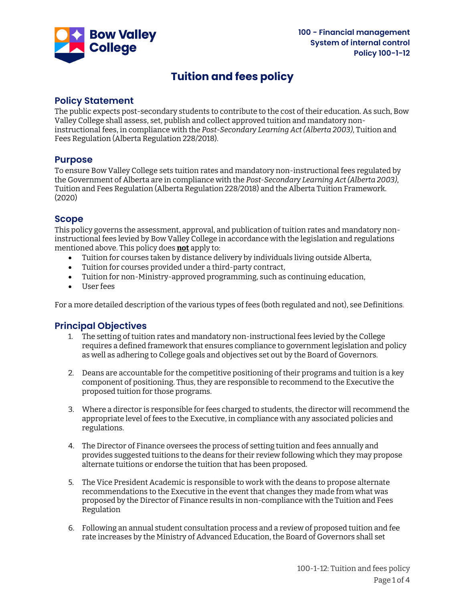

# **Tuition and fees policy**

# **Policy Statement**

The public expects post-secondary students to contribute to the cost of their education. As such, Bow Valley College shall assess, set, publish and collect approved tuition and mandatory noninstructional fees, in compliance with the *Post-Secondary Learning Act (Alberta 2003)*, Tuition and Fees Regulation (Alberta Regulation 228/2018).

### **Purpose**

To ensure Bow Valley College sets tuition rates and mandatory non-instructional fees regulated by the Government of Alberta are in compliance with the *Post-Secondary Learning Act (Alberta 2003)*, Tuition and Fees Regulation (Alberta Regulation 228/2018) and the Alberta Tuition Framework. (2020)

### **Scope**

This policy governs the assessment, approval, and publication of tuition rates and mandatory noninstructional fees levied by Bow Valley College in accordance with the legislation and regulations mentioned above. This policy does **not** apply to:

- Tuition for courses taken by distance delivery by individuals living outside Alberta,
- Tuition for courses provided under a third-party contract,
- Tuition for non-Ministry-approved programming, such as continuing education,
- User fees

For a more detailed description of the various types of fees (both regulated and not), see Definitions.

# **Principal Objectives**

- 1. The setting of tuition rates and mandatory non-instructional fees levied by the College requires a defined framework that ensures compliance to government legislation and policy as well as adhering to College goals and objectives set out by the Board of Governors.
- 2. Deans are accountable for the competitive positioning of their programs and tuition is a key component of positioning. Thus, they are responsible to recommend to the Executive the proposed tuition for those programs.
- 3. Where a director is responsible for fees charged to students, the director will recommend the appropriate level of fees to the Executive, in compliance with any associated policies and regulations.
- 4. The Director of Finance oversees the process of setting tuition and fees annually and provides suggested tuitions to the deans for their review following which they may propose alternate tuitions or endorse the tuition that has been proposed.
- 5. The Vice President Academic is responsible to work with the deans to propose alternate recommendations to the Executive in the event that changes they made from what was proposed by the Director of Finance results in non-compliance with the Tuition and Fees Regulation
- 6. Following an annual student consultation process and a review of proposed tuition and fee rate increases by the Ministry of Advanced Education, the Board of Governors shall set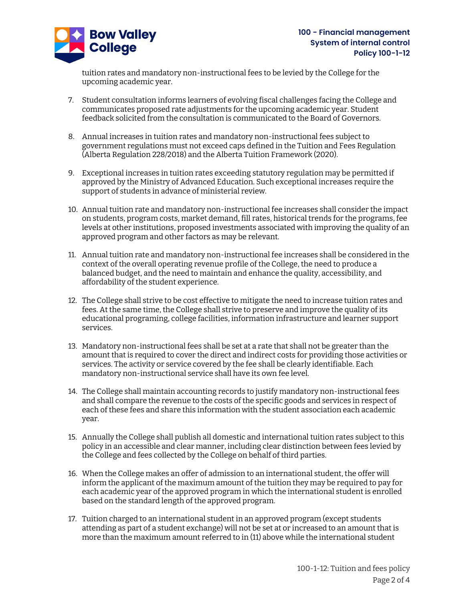

tuition rates and mandatory non-instructional fees to be levied by the College for the upcoming academic year.

- 7. Student consultation informs learners of evolving fiscal challenges facing the College and communicates proposed rate adjustments for the upcoming academic year. Student feedback solicited from the consultation is communicated to the Board of Governors.
- 8. Annual increases in tuition rates and mandatory non-instructional fees subject to government regulations must not exceed caps defined in the Tuition and Fees Regulation (Alberta Regulation 228/2018) and the Alberta Tuition Framework (2020).
- 9. Exceptional increases in tuition rates exceeding statutory regulation may be permitted if approved by the Ministry of Advanced Education. Such exceptional increases require the support of students in advance of ministerial review.
- 10. Annual tuition rate and mandatory non-instructional fee increases shall consider the impact on students, program costs, market demand, fill rates, historical trends for the programs, fee levels at other institutions, proposed investments associated with improving the quality of an approved program and other factors as may be relevant.
- 11. Annual tuition rate and mandatory non-instructional fee increases shall be considered in the context of the overall operating revenue profile of the College, the need to produce a balanced budget, and the need to maintain and enhance the quality, accessibility, and affordability of the student experience.
- 12. The College shall strive to be cost effective to mitigate the need to increase tuition rates and fees. At the same time, the College shall strive to preserve and improve the quality of its educational programing, college facilities, information infrastructure and learner support services.
- 13. Mandatory non-instructional fees shall be set at a rate that shall not be greater than the amount that is required to cover the direct and indirect costs for providing those activities or services. The activity or service covered by the fee shall be clearly identifiable. Each mandatory non-instructional service shall have its own fee level.
- 14. The College shall maintain accounting records to justify mandatory non-instructional fees and shall compare the revenue to the costs of the specific goods and services in respect of each of these fees and share this information with the student association each academic year.
- 15. Annually the College shall publish all domestic and international tuition rates subject to this policy in an accessible and clear manner, including clear distinction between fees levied by the College and fees collected by the College on behalf of third parties.
- 16. When the College makes an offer of admission to an international student, the offer will inform the applicant of the maximum amount of the tuition they may be required to pay for each academic year of the approved program in which the international student is enrolled based on the standard length of the approved program.
- 17. Tuition charged to an international student in an approved program (except students attending as part of a student exchange) will not be set at or increased to an amount that is more than the maximum amount referred to in (11) above while the international student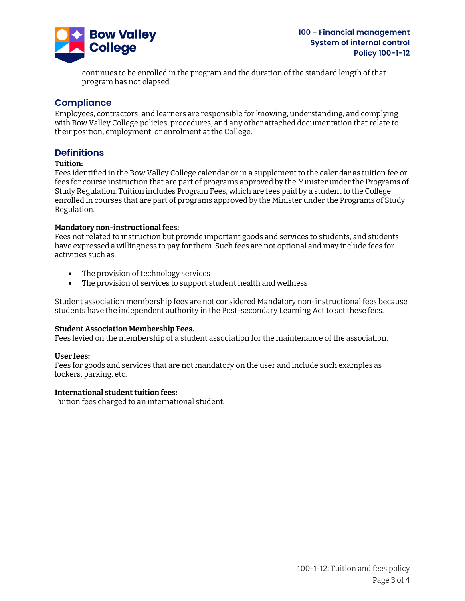

continues to be enrolled in the program and the duration of the standard length of that program has not elapsed.

## **Compliance**

Employees, contractors, and learners are responsible for knowing, understanding, and complying with Bow Valley College policies, procedures, and any other attached documentation that relate to their position, employment, or enrolment at the College.

### **Definitions**

#### **Tuition:**

Fees identified in the Bow Valley College calendar or in a supplement to the calendar as tuition fee or fees for course instruction that are part of programs approved by the Minister under the Programs of Study Regulation. Tuition includes Program Fees, which are fees paid by a student to the College enrolled in courses that are part of programs approved by the Minister under the Programs of Study Regulation.

#### **Mandatory non-instructional fees:**

Fees not related to instruction but provide important goods and services to students, and students have expressed a willingness to pay for them. Such fees are not optional and may include fees for activities such as:

- The provision of technology services
- The provision of services to support student health and wellness

Student association membership fees are not considered Mandatory non-instructional fees because students have the independent authority in the Post-secondary Learning Act to set these fees.

#### **Student Association Membership Fees.**

Fees levied on the membership of a student association for the maintenance of the association.

#### **User fees:**

Fees for goods and services that are not mandatory on the user and include such examples as lockers, parking, etc.

#### **International student tuition fees:**

Tuition fees charged to an international student.